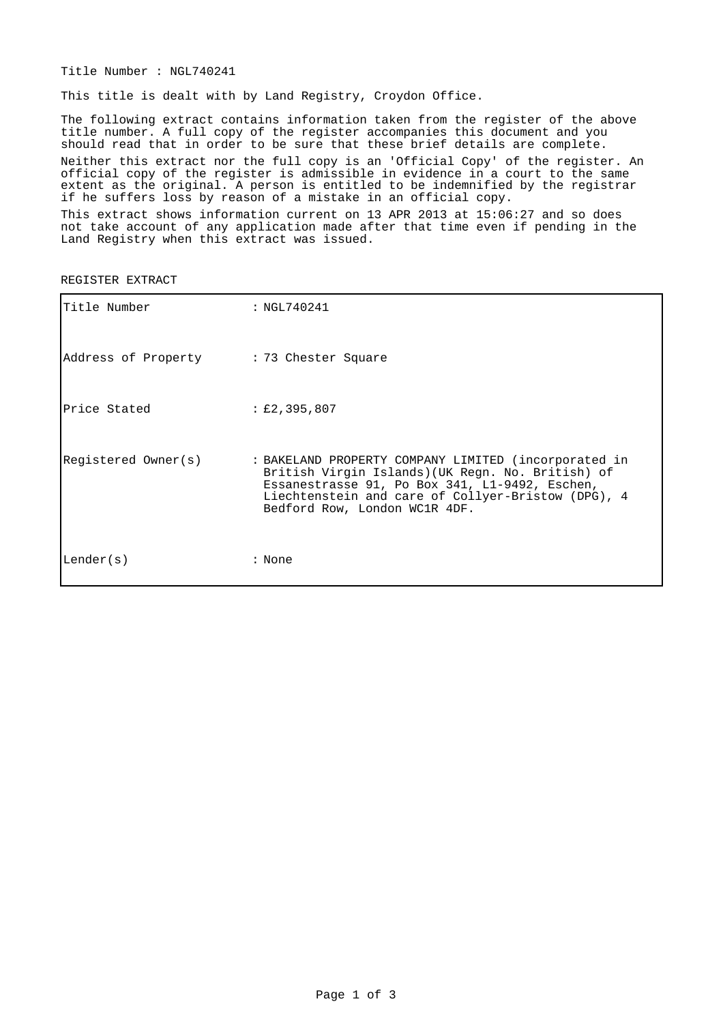Title Number : NGL740241

This title is dealt with by Land Registry, Croydon Office.

The following extract contains information taken from the register of the above title number. A full copy of the register accompanies this document and you should read that in order to be sure that these brief details are complete. Neither this extract nor the full copy is an 'Official Copy' of the register. An official copy of the register is admissible in evidence in a court to the same extent as the original. A person is entitled to be indemnified by the registrar if he suffers loss by reason of a mistake in an official copy.

This extract shows information current on 13 APR 2013 at 15:06:27 and so does not take account of any application made after that time even if pending in the Land Registry when this extract was issued.

| Title Number                            | : NGL740241                                                                                                                                                                                                                                        |
|-----------------------------------------|----------------------------------------------------------------------------------------------------------------------------------------------------------------------------------------------------------------------------------------------------|
| Address of Property : 73 Chester Square |                                                                                                                                                                                                                                                    |
| Price Stated                            | $\pm 2,395,807$                                                                                                                                                                                                                                    |
| Registered Owner(s)                     | : BAKELAND PROPERTY COMPANY LIMITED (incorporated in<br>British Virgin Islands) (UK Regn. No. British) of<br>Essanestrasse 91, Po Box 341, L1-9492, Eschen,<br>Liechtenstein and care of Collyer-Bristow (DPG), 4<br>Bedford Row, London WC1R 4DF. |
| Lender(s)                               | : None                                                                                                                                                                                                                                             |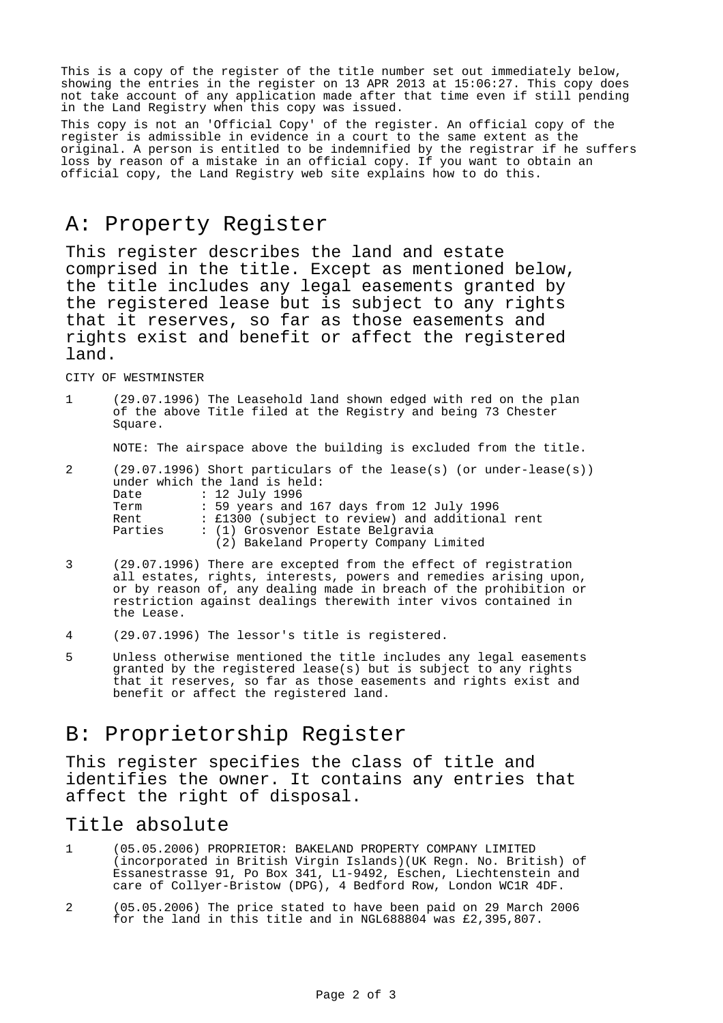This is a copy of the register of the title number set out immediately below, showing the entries in the register on 13 APR 2013 at 15:06:27. This copy does not take account of any application made after that time even if still pending in the Land Registry when this copy was issued.

This copy is not an 'Official Copy' of the register. An official copy of the register is admissible in evidence in a court to the same extent as the original. A person is entitled to be indemnified by the registrar if he suffers loss by reason of a mistake in an official copy. If you want to obtain an official copy, the Land Registry web site explains how to do this.

### A: Property Register

This register describes the land and estate comprised in the title. Except as mentioned below, the title includes any legal easements granted by the registered lease but is subject to any rights that it reserves, so far as those easements and rights exist and benefit or affect the registered land.

CITY OF WESTMINSTER

1 (29.07.1996) The Leasehold land shown edged with red on the plan of the above Title filed at the Registry and being 73 Chester Square.

NOTE: The airspace above the building is excluded from the title.

| 2       |                                           | $(29.07.1996)$ Short particulars of the lease(s) (or under-lease(s)) |
|---------|-------------------------------------------|----------------------------------------------------------------------|
|         |                                           | under which the land is held:                                        |
|         | Date                                      | : 12 July 1996                                                       |
| Term    | : 59 years and 167 days from 12 July 1996 |                                                                      |
|         | Rent                                      | : £1300 (subject to review) and additional rent                      |
| Parties |                                           | : (1) Grosvenor Estate Belgravia                                     |
|         |                                           | (2) Bakeland Property Company Limited                                |

- 3 (29.07.1996) There are excepted from the effect of registration all estates, rights, interests, powers and remedies arising upon, or by reason of, any dealing made in breach of the prohibition or restriction against dealings therewith inter vivos contained in the Lease.
- 4 (29.07.1996) The lessor's title is registered.
- 5 Unless otherwise mentioned the title includes any legal easements granted by the registered lease(s) but is subject to any rights that it reserves, so far as those easements and rights exist and benefit or affect the registered land.

## B: Proprietorship Register

This register specifies the class of title and identifies the owner. It contains any entries that affect the right of disposal.

#### Title absolute

- 1 (05.05.2006) PROPRIETOR: BAKELAND PROPERTY COMPANY LIMITED (incorporated in British Virgin Islands)(UK Regn. No. British) of Essanestrasse 91, Po Box 341, L1-9492, Eschen, Liechtenstein and care of Collyer-Bristow (DPG), 4 Bedford Row, London WC1R 4DF.
- 2 (05.05.2006) The price stated to have been paid on 29 March 2006 for the land in this title and in NGL688804 was £2,395,807.